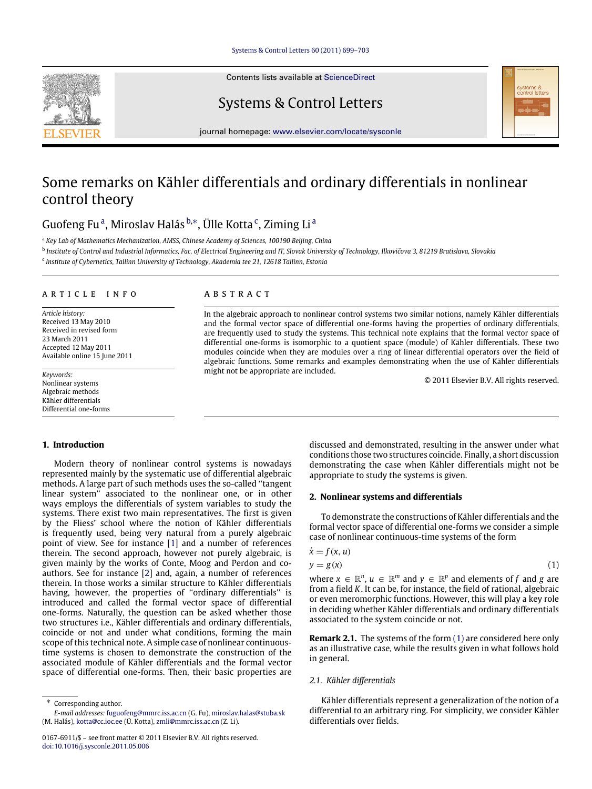## [Systems & Control Letters 60 \(2011\) 699–703](http://dx.doi.org/10.1016/j.sysconle.2011.05.006)

Contents lists available at [ScienceDirect](http://www.elsevier.com/locate/sysconle)

# Systems & Control Letters

journal homepage: [www.elsevier.com/locate/sysconle](http://www.elsevier.com/locate/sysconle)

# Some remarks on Kähler differentials and ordinary differentials in nonlinear control theory

Guofeng Fuª, Mirosl[a](#page-0-0)v Halás <sup>[b,](#page-0-1)</sup>\*, Ülle Kotta<sup>[c](#page-0-3)</sup>, Ziming Liª

<span id="page-0-0"></span><sup>a</sup> *Key Lab of Mathematics Mechanization, AMSS, Chinese Academy of Sciences, 100190 Beijing, China*

<span id="page-0-1"></span>b *Institute of Control and Industrial Informatics, Fac. of Electrical Engineering and IT, Slovak University of Technology, Ilkovičova 3, 81219 Bratislava, Slovakia*

<span id="page-0-3"></span>c *Institute of Cybernetics, Tallinn University of Technology, Akademia tee 21, 12618 Tallinn, Estonia*

## A R T I C L E I N F O

*Article history:* Received 13 May 2010 Received in revised form 23 March 2011 Accepted 12 May 2011 Available online 15 June 2011

*Keywords:* Nonlinear systems Algebraic methods Kähler differentials Differential one-forms

## **1. Introduction**

Modern theory of nonlinear control systems is nowadays represented mainly by the systematic use of differential algebraic methods. A large part of such methods uses the so-called ''tangent linear system'' associated to the nonlinear one, or in other ways employs the differentials of system variables to study the systems. There exist two main representatives. The first is given by the Fliess' school where the notion of Kähler differentials is frequently used, being very natural from a purely algebraic point of view. See for instance [\[1\]](#page-4-0) and a number of references therein. The second approach, however not purely algebraic, is given mainly by the works of Conte, Moog and Perdon and coauthors. See for instance [\[2\]](#page-4-1) and, again, a number of references therein. In those works a similar structure to Kähler differentials having, however, the properties of ''ordinary differentials'' is introduced and called the formal vector space of differential one-forms. Naturally, the question can be asked whether those two structures i.e., Kähler differentials and ordinary differentials, coincide or not and under what conditions, forming the main scope of this technical note. A simple case of nonlinear continuoustime systems is chosen to demonstrate the construction of the associated module of Kähler differentials and the formal vector space of differential one-forms. Then, their basic properties are

<span id="page-0-2"></span>∗ Corresponding author. *E-mail addresses:* [fuguofeng@mmrc.iss.ac.cn](mailto:fuguofeng@mmrc.iss.ac.cn) (G. Fu), [miroslav.halas@stuba.sk](mailto:miroslav.halas@stuba.sk) (M. Halás), [kotta@cc.ioc.ee](mailto:kotta@cc.ioc.ee) (Ü. Kotta), [zmli@mmrc.iss.ac.cn](mailto:zmli@mmrc.iss.ac.cn) (Z. Li).

# a b s t r a c t

In the algebraic approach to nonlinear control systems two similar notions, namely Kähler differentials and the formal vector space of differential one-forms having the properties of ordinary differentials, are frequently used to study the systems. This technical note explains that the formal vector space of differential one-forms is isomorphic to a quotient space (module) of Kähler differentials. These two modules coincide when they are modules over a ring of linear differential operators over the field of algebraic functions. Some remarks and examples demonstrating when the use of Kähler differentials might not be appropriate are included.

<span id="page-0-4"></span>© 2011 Elsevier B.V. All rights reserved.

iystems &<br>:ontrol letters

discussed and demonstrated, resulting in the answer under what conditions those two structures coincide. Finally, a short discussion demonstrating the case when Kähler differentials might not be appropriate to study the systems is given.

## **2. Nonlinear systems and differentials**

To demonstrate the constructions of Kähler differentials and the formal vector space of differential one-forms we consider a simple case of nonlinear continuous-time systems of the form

$$
\begin{aligned}\n\dot{x} &= f(x, u) \\
y &= g(x)\n\end{aligned} (1)
$$

where  $x \in \mathbb{R}^n$ ,  $u \in \mathbb{R}^m$  and  $y \in \mathbb{R}^p$  and elements of f and g are from a field *K*. It can be, for instance, the field of rational, algebraic or even meromorphic functions. However, this will play a key role in deciding whether Kähler differentials and ordinary differentials associated to the system coincide or not.

**Remark 2.1.** The systems of the form [\(1\)](#page-0-4) are considered here only as an illustrative case, while the results given in what follows hold in general.

## <span id="page-0-5"></span>*2.1. Kähler differentials*

Kähler differentials represent a generalization of the notion of a differential to an arbitrary ring. For simplicity, we consider Kähler differentials over fields.



<sup>0167-6911/\$ –</sup> see front matter © 2011 Elsevier B.V. All rights reserved. [doi:10.1016/j.sysconle.2011.05.006](http://dx.doi.org/10.1016/j.sysconle.2011.05.006)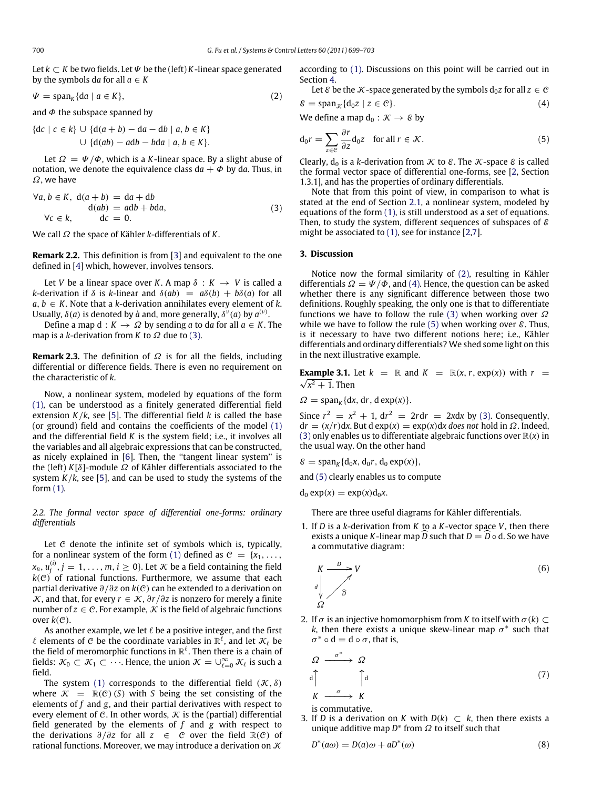Let  $k \subset K$  be two fields. Let  $\Psi$  be the (left) *K*-linear space generated by the symbols d*a* for all  $a \in K$ 

$$
\Psi = \text{span}_K \{ da \mid a \in K \},\tag{2}
$$

and  $\Phi$  the subspace spanned by

$$
\{dc \mid c \in k\} \cup \{d(a+b) - da - db \mid a, b \in K\}
$$

$$
\cup \{d(ab) - adb - bda \mid a, b \in K\}.
$$

Let  $\Omega = \Psi/\Phi$ , which is a *K*-linear space. By a slight abuse of notation, we denote the equivalence class  $da + \Phi$  by d*a*. Thus, in  $\Omega$ , we have

$$
\forall a, b \in K, d(a + b) = da + db
$$
  
\n
$$
d(ab) = adb + bda,
$$
  
\n
$$
\forall c \in k, d c = 0.
$$
\n(3)

We call Ω the space of Kähler *k*-differentials of *K*.

**Remark 2.2.** This definition is from [\[3\]](#page-4-2) and equivalent to the one defined in [\[4\]](#page-4-3) which, however, involves tensors.

Let *V* be a linear space over *K*. A map  $\delta : K \to V$  is called a *k*-derivation if  $\delta$  is *k*-linear and  $\delta(ab) = a\delta(b) + b\delta(a)$  for all  $a, b \in K$ . Note that a *k*-derivation annihilates every element of *k*. Usually,  $\delta(a)$  is denoted by  $\dot{a}$  and, more generally,  $\delta^\nu(a)$  by  $a^{(\nu)}.$ 

Define a map  $d : K \to \Omega$  by sending *a* to d*a* for all  $a \in K$ . The map is a *k*-derivation from *K* to  $\Omega$  due to [\(3\).](#page-1-0)

**Remark 2.3.** The definition of  $\Omega$  is for all the fields, including differential or difference fields. There is even no requirement on the characteristic of *k*.

Now, a nonlinear system, modeled by equations of the form [\(1\),](#page-0-4) can be understood as a finitely generated differential field extension *K*/*k*, see [\[5\]](#page-4-4). The differential field *k* is called the base (or ground) field and contains the coefficients of the model [\(1\)](#page-0-4) and the differential field *K* is the system field; i.e., it involves all the variables and all algebraic expressions that can be constructed, as nicely explained in [\[6\]](#page-4-5). Then, the "tangent linear system" is the (left)  $K[δ]$ -module  $Ω$  of Kähler differentials associated to the system *K*/*k*, see [\[5\]](#page-4-4), and can be used to study the systems of the form [\(1\).](#page-0-4)

<span id="page-1-7"></span>*2.2. The formal vector space of differential one-forms: ordinary differentials*

Let  $C$  denote the infinite set of symbols which is, typically, for a nonlinear system of the form [\(1\)](#page-0-4) defined as  $C = \{x_1, \ldots, x_n\}$  $\mathbf{x}_n, \mathbf{u}^{(i)}_j, j=1,\ldots,m, i\geq 0\}.$  Let  $\mathcal K$  be a field containing the field  $k(e)$  of rational functions. Furthermore, we assume that each partial derivative ∂/∂*z* on *k*(C) can be extended to a derivation on *K*, and that, for every  $r \in \mathcal{K}$ ,  $\partial r / \partial z$  is nonzero for merely a finite number of  $z \in \mathcal{C}$ . For example,  $\mathcal K$  is the field of algebraic functions over  $k(\mathcal{C})$ .

As another example, we let  $\ell$  be a positive integer, and the first  $\ell$  elements of  $\mathcal C$  be the coordinate variables in  $\mathbb R^\ell$ , and let  $\mathcal K_\ell$  be the field of meromorphic functions in  $\mathbb{R}^\ell.$  Then there is a chain of fields:  $\mathcal{K}_0 \subset \mathcal{K}_1 \subset \cdots$ . Hence, the union  $\mathcal{K} = \cup_{\ell=0}^{\infty} \mathcal{K}_{\ell}$  is such a field.

The system [\(1\)](#page-0-4) corresponds to the differential field  $(\mathcal{K}, \delta)$ where  $K = \mathbb{R}(C)(S)$  with *S* being the set consisting of the elements of *f* and *g*, and their partial derivatives with respect to every element of C. In other words,  $K$  is the (partial) differential field generated by the elements of *f* and *g* with respect to the derivations ∂/∂*z* for all *z* ∈ C over the field R(C) of rational functions. Moreover, we may introduce a derivation on  $K$ 

according to [\(1\).](#page-0-4) Discussions on this point will be carried out in Section [4.](#page-2-0)

<span id="page-1-3"></span><span id="page-1-2"></span>Let  $\&$  be the *K*-space generated by the symbols  $d_0z$  for all  $z \in \mathcal{C}$ 

<span id="page-1-1"></span>
$$
\varepsilon = \operatorname{span}_{\mathcal{K}} \{ d_0 z \mid z \in \mathcal{C} \}. \tag{4}
$$

We define a map  $d_0 : \mathcal{K} \to \mathcal{E}$  by

$$
d_0 r = \sum_{z \in \mathcal{C}} \frac{\partial r}{\partial z} d_0 z \quad \text{for all } r \in \mathcal{K}.
$$
 (5)

Clearly,  $d_0$  is a *k*-derivation from  $K$  to  $\mathcal{E}$ . The  $K$ -space  $\mathcal{E}$  is called the formal vector space of differential one-forms, see [\[2,](#page-4-1) Section 1.3.1], and has the properties of ordinary differentials.

<span id="page-1-0"></span>Note that from this point of view, in comparison to what is stated at the end of Section [2.1,](#page-0-5) a nonlinear system, modeled by equations of the form [\(1\),](#page-0-4) is still understood as a set of equations. Then, to study the system, different sequences of subspaces of  $\varepsilon$ might be associated to [\(1\),](#page-0-4) see for instance [\[2](#page-4-1)[,7\]](#page-4-6).

#### **3. Discussion**

Notice now the formal similarity of [\(2\),](#page-1-1) resulting in Kähler differentials  $\Omega = \Psi / \Phi$ , and [\(4\).](#page-1-2) Hence, the question can be asked whether there is any significant difference between those two definitions. Roughly speaking, the only one is that to differentiate functions we have to follow the rule [\(3\)](#page-1-0) when working over  $\Omega$ while we have to follow the rule [\(5\)](#page-1-3) when working over  $\varepsilon$ . Thus, is it necessary to have two different notions here; i.e., Kähler differentials and ordinary differentials? We shed some light on this in the next illustrative example.

<span id="page-1-6"></span>**Example 3.1.** Let  $k = \mathbb{R}$  and  $K = \mathbb{R}(x, r, \exp(x))$  with  $r =$  $\sqrt{x^2+1}$ . Then

 $\Omega = \text{span}_{K} \{dx, dr, d \exp(x)\}.$ 

Since  $r^2 = x^2 + 1$ ,  $dr^2 = 2rdr = 2xdx$  by [\(3\).](#page-1-0) Consequently,  $dr = (x/r)dx$ . But d exp(*x*) = exp(*x*)d*x* does not hold in  $\Omega$ . Indeed, [\(3\)](#page-1-0) only enables us to differentiate algebraic functions over  $\mathbb{R}(x)$  in the usual way. On the other hand

$$
\varepsilon = \text{span}_K\{d_0x, d_0r, d_0\exp(x)\},
$$

and [\(5\)](#page-1-3) clearly enables us to compute

 $d_0 \exp(x) = \exp(x) d_0 x$ .

There are three useful diagrams for Kähler differentials.

1. If *D* is a *k*-derivation from *K* to a *K*-vector space *V*, then there exists a unique *K*-linear map  $\widehat{D}$  such that  $D = \widehat{D} \circ d$ . So we have a commutative diagram:

<span id="page-1-4"></span>
$$
K \xrightarrow{D} V
$$
  
\n
$$
\downarrow
$$
  
\n
$$
\uparrow
$$
  
\n
$$
\uparrow
$$
  
\n
$$
\uparrow
$$
  
\n
$$
\uparrow
$$
  
\n
$$
\uparrow
$$
  
\n
$$
\uparrow
$$
  
\n
$$
\uparrow
$$
  
\n
$$
\uparrow
$$
  
\n
$$
\uparrow
$$
  
\n
$$
\uparrow
$$
  
\n
$$
\uparrow
$$
  
\n
$$
\uparrow
$$
  
\n
$$
\uparrow
$$
  
\n
$$
\uparrow
$$
  
\n
$$
\uparrow
$$
  
\n
$$
\uparrow
$$
  
\n
$$
\uparrow
$$
  
\n
$$
\uparrow
$$
  
\n
$$
\uparrow
$$
  
\n
$$
\uparrow
$$
  
\n
$$
\uparrow
$$
  
\n
$$
\uparrow
$$
  
\n
$$
\uparrow
$$
  
\n
$$
\uparrow
$$
  
\n
$$
\uparrow
$$
  
\n
$$
\uparrow
$$
  
\n
$$
\uparrow
$$
  
\n
$$
\uparrow
$$
  
\n
$$
\uparrow
$$
  
\n
$$
\uparrow
$$
  
\n
$$
\uparrow
$$
  
\n
$$
\uparrow
$$
  
\n
$$
\uparrow
$$
  
\n
$$
\uparrow
$$
  
\n
$$
\uparrow
$$
  
\n
$$
\uparrow
$$
  
\n
$$
\uparrow
$$
  
\n
$$
\uparrow
$$
  
\n
$$
\uparrow
$$
  
\n
$$
\uparrow
$$
  
\n
$$
\uparrow
$$
  
\n
$$
\uparrow
$$
  
\n
$$
\uparrow
$$
  
\n
$$
\uparrow
$$
  
\n
$$
\uparrow
$$
  
\n
$$
\uparrow
$$
  
\n
$$
\uparrow
$$
  
\n
$$
\uparrow
$$
  
\n
$$
\uparrow
$$
  
\n
$$
\uparrow
$$
  
\n
$$
\uparrow
$$
  
\n
$$
\uparrow
$$
  
\n $$ 

2. If  $\sigma$  is an injective homomorphism from *K* to itself with  $\sigma$  (*k*) ⊂ k, then there exists a unique skew-linear map  $\sigma^*$  such that  $\sigma^* \circ d = d \circ \sigma$ , that is,

<span id="page-1-5"></span>
$$
\Omega \xrightarrow{\sigma^*} \Omega
$$
\n
$$
\downarrow^{\pi}
$$
\n
$$
\uparrow^{\pi}
$$
\n
$$
\downarrow^{\pi}
$$
\n
$$
\downarrow^{\pi}
$$
\n
$$
\downarrow^{\pi}
$$
\n
$$
\downarrow^{\pi}
$$
\n
$$
\downarrow^{\pi}
$$
\n
$$
\downarrow^{\pi}
$$
\n
$$
\downarrow^{\pi}
$$
\n
$$
\downarrow^{\pi}
$$
\n
$$
\downarrow^{\pi}
$$
\n
$$
\downarrow^{\pi}
$$
\n
$$
\downarrow^{\pi}
$$
\n
$$
\downarrow^{\pi}
$$
\n
$$
\downarrow^{\pi}
$$
\n
$$
\downarrow^{\pi}
$$
\n
$$
\downarrow^{\pi}
$$
\n
$$
\downarrow^{\pi}
$$
\n
$$
\downarrow^{\pi}
$$
\n
$$
\downarrow^{\pi}
$$
\n
$$
\downarrow^{\pi}
$$
\n
$$
\downarrow^{\pi}
$$
\n
$$
\downarrow^{\pi}
$$
\n
$$
\downarrow^{\pi}
$$
\n
$$
\downarrow^{\pi}
$$
\n
$$
\downarrow^{\pi}
$$
\n
$$
\downarrow^{\pi}
$$
\n
$$
\downarrow^{\pi}
$$
\n
$$
\downarrow^{\pi}
$$
\n
$$
\downarrow^{\pi}
$$
\n
$$
\downarrow^{\pi}
$$
\n
$$
\downarrow^{\pi}
$$
\n
$$
\downarrow^{\pi}
$$
\n
$$
\downarrow^{\pi}
$$
\n
$$
\downarrow^{\pi}
$$
\n
$$
\downarrow^{\pi}
$$
\n
$$
\downarrow^{\pi}
$$
\n
$$
\downarrow^{\pi}
$$
\n
$$
\downarrow^{\pi}
$$
\n
$$
\downarrow^{\pi}
$$
\n
$$
\downarrow^{\pi}
$$
\n
$$
\downarrow^{\pi}
$$
\n
$$
\downarrow^{\pi}
$$
\n
$$
\downarrow^{\pi}
$$
\n
$$
\downarrow^{\pi}
$$
\n
$$
\downarrow^{\pi}
$$
\n
$$
\downarrow^{\pi}
$$
\n
$$
\downarrow^{\pi}
$$
\n
$$
\downarrow^{\pi}
$$
\n
$$
\downarrow^
$$

3. If *D* is a derivation on *K* with  $D(k) \subset k$ , then there exists a unique additive map  $D^*$  from  $\Omega$  to itself such that

<span id="page-1-8"></span>
$$
D^*(a\omega) = D(a)\omega + aD^*(\omega)
$$
\n(8)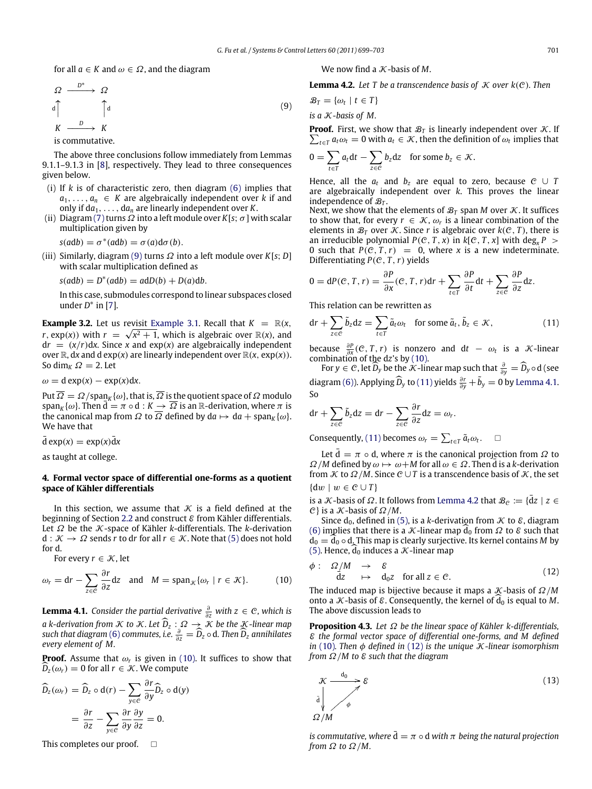for all  $a \in K$  and  $\omega \in \Omega$ , and the diagram

$$
\Omega \xrightarrow{D^*} \Omega
$$
  
\n
$$
\downarrow
$$
  
\n
$$
K \xrightarrow{D} K
$$
  
\n(9)

is commutative.

The above three conclusions follow immediately from Lemmas 9.1.1–9.1.3 in [\[8\]](#page-4-7), respectively. They lead to three consequences given below.

- (i) If *k* is of characteristic zero, then diagram [\(6\)](#page-1-4) implies that  $a_1, \ldots, a_n \in K$  are algebraically independent over *k* if and only if d*a*1, . . . , d*a<sup>n</sup>* are linearly independent over *K*.
- (ii) Diagram [\(7\)](#page-1-5) turns  $\Omega$  into a left module over  $K[s; \sigma]$  with scalar multiplication given by

 $s(adb) = \sigma^*(adb) = \sigma(a)d\sigma(b).$ 

(iii) Similarly, diagram [\(9\)](#page-2-1) turns Ω into a left module over *K*[*s*; *D*] with scalar multiplication defined as

 $s(ab) = D^*(adb) = adD(b) + D(a)db.$ 

In this case, submodules correspond to linear subspaces closed under  $D^*$  in [\[7\]](#page-4-6).

**Example 3.2.** Let us revisit [Example 3.1.](#page-1-6) Recall that  $K = \mathbb{R}(x, y)$ *r*, exp(*x*)) with  $r = \sqrt{x^2 + 1}$ , which is algebraic over  $\mathbb{R}(x)$ , and  $dr = (x/r)dx$ . Since *x* and exp(*x*) are algebraically independent over  $\mathbb{R}$ , dx and d exp(x) are linearly independent over  $\mathbb{R}(x, \exp(x))$ . So dim<sub>*K*</sub>  $\Omega = 2$ . Let

 $\omega = d \exp(x) - \exp(x) dx$ .

Put  $\overline{\Omega}=\Omega/$ span $_K\{\omega\}$ , that is,  $\overline{\Omega}$  is the quotient space of  $\Omega$  modulo  $\sinh(k\omega)$ . Then  $\overline{d} = \pi \circ d : K \rightarrow \overline{\Omega}$  is an R-derivation, where  $\pi$  is the canonical map from  $\Omega$  to  $\overline{\Omega}$  defined by da  $\mapsto$  da  $+$  span<sub>K</sub> { $\omega$ }. We have that

 $\overline{d}$  exp(x) = exp(x) $\overline{dx}$ 

as taught at college.

## <span id="page-2-0"></span>**4. Formal vector space of differential one-forms as a quotient space of Kähler differentials**

In this section, we assume that  $K$  is a field defined at the beginning of Section [2.2](#page-1-7) and construct  $\varepsilon$  from Kähler differentials. Let Ω be the K-space of Kähler *k*-differentials. The *k*-derivation  $d: \mathcal{K} \to \Omega$  sends *r* to dr for all  $r \in \mathcal{K}$ . Note that [\(5\)](#page-1-3) does not hold for d.

For every  $r \in \mathcal{K}$ , let

$$
\omega_r = dr - \sum_{z \in \mathcal{C}} \frac{\partial r}{\partial z} dz \quad \text{and} \quad M = \text{span}_{\mathcal{K}} \{ \omega_r \mid r \in \mathcal{K} \}. \tag{10}
$$

<span id="page-2-4"></span>**Lemma 4.1.** *Consider the partial derivative*  $\frac{\partial}{\partial z}$  *with*  $z \in C$ *, which is a* k-derivation from  $K$  *to*  $K$ *. Let*  $\widehat{D}_z$  :  $\Omega \to \widehat{K}$  *be the*  $K$ -linear map cuch that digaram (6) commutes i.e.  $\stackrel{\partial}{\theta}$   $\cap$   $\widehat{D}$  a.d. Than  $\widehat{D}$  annihilates *such that diagram* [\(6\)](#page-1-4) *commutes, i.e.*  $\frac{\partial}{\partial z} = \widehat{D}_z \circ d$ . Then  $\widehat{D}_z$  annihilates *every element of M.*

**Proof.** Assume that  $\omega_r$  is given in [\(10\).](#page-2-2) It suffices to show that  $D_z(\omega_r) = 0$  for all  $r \in \mathcal{K}$ . We compute

$$
\widehat{D}_z(\omega_r) = \widehat{D}_z \circ d(r) - \sum_{y \in \mathcal{C}} \frac{\partial r}{\partial y} \widehat{D}_z \circ d(y)
$$

$$
= \frac{\partial r}{\partial z} - \sum_{y \in \mathcal{C}} \frac{\partial r}{\partial y} \frac{\partial y}{\partial z} = 0.
$$

This completes our proof.  $\square$ 

<span id="page-2-5"></span>We now find a  $K$ -basis of M.

<span id="page-2-1"></span>**Lemma 4.2.** Let T be a transcendence basis of  $K$  over  $k(\mathcal{C})$ . Then

$$
\mathcal{B}_T = \{ \omega_t \mid t \in T \}
$$

is a 
$$
K
$$
-basis of  $M$ .

**Proof.** First, we show that  $\mathcal{B}_T$  is linearly independent over  $\mathcal{K}$ . If  $\sum_{t \in T} a_t \omega_t = 0$  with  $a_t \in \mathcal{K}$ , then the definition of  $\omega_t$  implies that

$$
0=\sum_{t\in T}a_t\mathrm{d}t-\sum_{z\in\mathcal{C}}b_z\mathrm{d}z\quad\text{for some }b_z\in\mathcal{K}.
$$

Hence, all the  $a_t$  and  $b_z$  are equal to zero, because  $C \cup T$ are algebraically independent over *k*. This proves the linear independence of  $B_T$ .

Next, we show that the elements of  $\mathcal{B}_T$  span *M* over *K*. It suffices to show that, for every  $r \in \mathcal{K}$ ,  $\omega_r$  is a linear combination of the elements in  $\mathcal{B}_T$  over *K*. Since *r* is algebraic over  $k(\mathcal{C}, T)$ , there is an irreducible polynomial  $P(C, T, x)$  in  $k[C, T, x]$  with deg<sub>x</sub>  $P >$ 0 such that  $P(C, T, r) = 0$ , where *x* is a new indeterminate. Differentiating  $P(C, T, r)$  yields

$$
0 = dP(C, T, r) = \frac{\partial P}{\partial x}(C, T, r)dr + \sum_{t \in T} \frac{\partial P}{\partial t}dt + \sum_{z \in C} \frac{\partial P}{\partial z}dz.
$$

This relation can be rewritten as

<span id="page-2-3"></span>
$$
\mathrm{d}r + \sum_{z \in \mathcal{C}} \tilde{b}_z \mathrm{d}z = \sum_{t \in T} \tilde{a}_t \omega_t \quad \text{for some } \tilde{a}_t, \tilde{b}_z \in \mathcal{K}, \tag{11}
$$

because  $\frac{\partial P}{\partial x}(C, T, r)$  is nonzero and d*t* −  $\omega_t$  is a *K*-linear combination of the d*z*'s by [\(10\).](#page-2-2)

For  $y \in \mathcal{C}$ , let  $\widehat{D}_y$  be the  $\mathcal{K}$ -linear map such that  $\frac{\partial}{\partial y} = \widehat{D}_y \circ d$  (see diagram [\(6\)\)](#page-1-4). Applying  $\widehat{D}_y$  to [\(11\)](#page-2-3) yields  $\frac{\partial r}{\partial y} + \widetilde{b}_y = 0$  by [Lemma 4.1.](#page-2-4) So

$$
\mathrm{d}r + \sum_{z \in \mathcal{C}} \tilde{b}_z \mathrm{d}z = \mathrm{d}r - \sum_{z \in \mathcal{C}} \frac{\partial r}{\partial z} \mathrm{d}z = \omega_r.
$$

Consequently, [\(11\)](#page-2-3) becomes  $\omega_r = \sum_{t \in T} \tilde{a}_t \omega_t$ .  $\Box$ 

Let  $\bar{d} = \pi \circ d$ , where  $\pi$  is the canonical projection from  $\Omega$  to  $\Omega/M$  defined by  $\omega \mapsto \omega + M$  for all  $\omega \in \Omega$ . Then  $\overline{d}$  is a *k*-derivation from  $K$  to  $\Omega/M$ . Since  $\mathcal{C} \cup T$  is a transcendence basis of  $K$ , the set  $\{dw \mid w \in \mathcal{C} \cup \mathcal{T}\}\$ 

is a *K*-basis of Ω. It follows from [Lemma 4.2](#page-2-5) that  $\mathcal{B}_{\mathcal{C}} := {\bar{d}z \mid z \in \mathcal{C}}$ C} is a  $K$ -basis of  $\Omega/M$ .

Since  $d_0$ , defined in [\(5\),](#page-1-3) is a *k*-derivation from  $K$  to  $\varepsilon$ , diagram [\(6\)](#page-1-4) implies that there is a *K*-linear map  $d_0$  from  $\Omega$  to  $\varepsilon$  such that  $d_0 = d_0 \circ d$ . This map is clearly surjective. Its kernel contains *M* by [\(5\).](#page-1-3) Hence,  $\mathbf{d}_0$  induces a *K*-linear map

<span id="page-2-6"></span><span id="page-2-2"></span>
$$
\begin{array}{rcl}\n\phi: & \Omega/M & \rightarrow & \mathcal{E} \\
\bar{\mathrm{d}}z & \mapsto & \mathrm{d}_0 z \quad \text{for all } z \in \mathcal{C}.\n\end{array} \tag{12}
$$

The induced map is bijective because it maps a K-basis of Ω/*M* onto a *K*-basis of  $\varepsilon$ . Consequently, the kernel of  $d_0$  is equal to *M*. The above discussion leads to

<span id="page-2-7"></span>**Proposition 4.3.** *Let* Ω *be the linear space of Kähler k-differentials,* E *the formal vector space of differential one-forms, and M defined in* [\(10\)](#page-2-2)*. Then* φ *defined in* [\(12\)](#page-2-6) *is the unique* K*-linear isomorphism from* Ω/*M to* E *such that the diagram*

$$
\mathcal{K} \xrightarrow{d_0} \mathcal{E}
$$
\n
$$
\frac{d}{d} \sqrt{\phi}
$$
\n
$$
\Omega/M
$$
\n(13)

*is commutative, where*  $\overline{d} = \pi \circ d$  *with*  $\pi$  *being the natural projection from* Ω *to* Ω/*M.*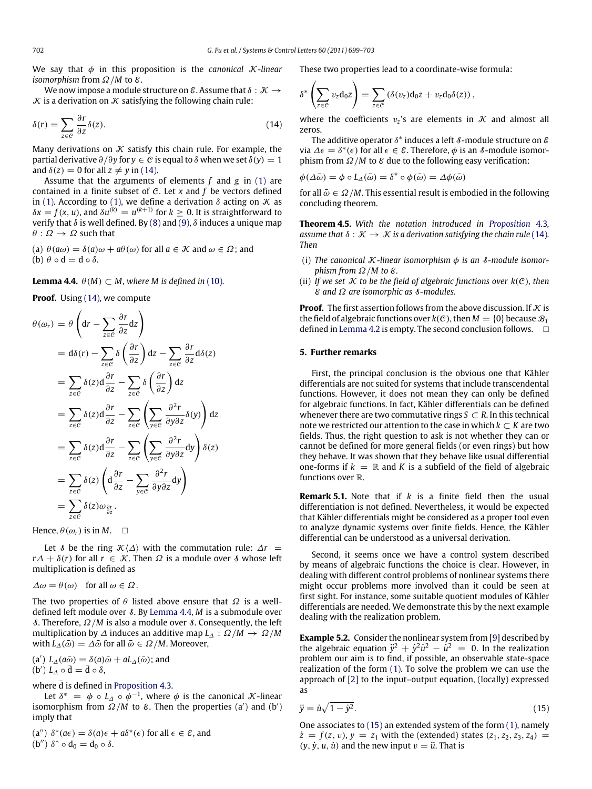We say that  $\phi$  in this proposition is the *canonical K*-*linear isomorphism* from Ω/*M* to E.

We now impose a module structure on  $\mathcal{E}$ . Assume that  $\delta : \mathcal{K} \to$  $K$  is a derivation on  $K$  satisfying the following chain rule:

$$
\delta(r) = \sum_{z \in \mathcal{C}} \frac{\partial r}{\partial z} \delta(z). \tag{14}
$$

Many derivations on  $K$  satisfy this chain rule. For example, the partial derivative  $\partial/\partial y$  for  $y \in C$  is equal to  $\delta$  when we set  $\delta(y) = 1$ and  $\delta(z) = 0$  for all  $z \neq y$  in [\(14\).](#page-3-0)

Assume that the arguments of elements *f* and *g* in [\(1\)](#page-0-4) are contained in a finite subset of C. Let *x* and *f* be vectors defined in [\(1\).](#page-0-4) According to [\(1\),](#page-0-4) we define a derivation  $\delta$  acting on  $\mathcal K$  as  $\delta x = f(x, u)$ , and  $\delta u^{(k)} = u^{(k+1)}$  for  $k \ge 0$ . It is straightforward to verify that  $\delta$  is well defined. By [\(8\)](#page-1-8) and [\(9\),](#page-2-1)  $\delta$  induces a unique map  $\theta$  :  $\Omega \rightarrow \Omega$  such that

(a)  $\theta(a\omega) = \delta(a)\omega + a\theta(\omega)$  for all  $a \in \mathcal{K}$  and  $\omega \in \Omega$ ; and (b)  $\theta \circ d = d \circ \delta$ .

<span id="page-3-1"></span>**Lemma 4.4.**  $\theta(M) \subset M$ , where M is defined in [\(10\)](#page-2-2).

**Proof.** Using [\(14\),](#page-3-0) we compute

$$
\theta(\omega_r) = \theta \left( dr - \sum_{z \in \mathcal{C}} \frac{\partial r}{\partial z} dz \right)
$$
  
\n
$$
= d\delta(r) - \sum_{z \in \mathcal{C}} \delta \left( \frac{\partial r}{\partial z} \right) dz - \sum_{z \in \mathcal{C}} \frac{\partial r}{\partial z} d\delta(z)
$$
  
\n
$$
= \sum_{z \in \mathcal{C}} \delta(z) d \frac{\partial r}{\partial z} - \sum_{z \in \mathcal{C}} \delta \left( \frac{\partial r}{\partial z} \right) dz
$$
  
\n
$$
= \sum_{z \in \mathcal{C}} \delta(z) d \frac{\partial r}{\partial z} - \sum_{z \in \mathcal{C}} \left( \sum_{y \in \mathcal{C}} \frac{\partial^2 r}{\partial y \partial z} \delta(y) \right) dz
$$
  
\n
$$
= \sum_{z \in \mathcal{C}} \delta(z) d \frac{\partial r}{\partial z} - \sum_{z \in \mathcal{C}} \left( \sum_{y \in \mathcal{C}} \frac{\partial^2 r}{\partial y \partial z} dy \right) \delta(z)
$$
  
\n
$$
= \sum_{z \in \mathcal{C}} \delta(z) \left( d \frac{\partial r}{\partial z} - \sum_{y \in \mathcal{C}} \frac{\partial^2 r}{\partial y \partial z} dy \right)
$$
  
\n
$$
= \sum_{z \in \mathcal{C}} \delta(z) \omega_{\frac{\partial r}{\partial z}}.
$$

Hence,  $\theta(\omega_r)$  is in *M*.  $\square$ 

Let *§* be the ring  $\mathcal{K}\langle\Delta\rangle$  with the commutation rule:  $\Delta r =$  $r\Delta + \delta(r)$  for all  $r \in \mathcal{K}$ . Then  $\Omega$  is a module over  $\delta$  whose left multiplication is defined as

$$
\Delta \omega = \theta(\omega) \quad \text{for all } \omega \in \Omega.
$$

The two properties of  $\theta$  listed above ensure that  $\Omega$  is a welldefined left module over S. By [Lemma 4.4,](#page-3-1) *M* is a submodule over S. Therefore, Ω/*M* is also a module over S. Consequently, the left multiplication by  $\Delta$  induces an additive map  $L_{\Delta}: \Omega/M \rightarrow \Omega/M$ with  $L_{\Delta}(\bar{\omega}) = \Delta \bar{\omega}$  for all  $\bar{\omega} \in \Omega/M$ . Moreover,

 $(a') L_{\Delta}(\bar{a}\bar{\omega}) = \delta(a)\bar{\omega} + aL_{\Delta}(\bar{\omega})$ ; and  $(b') L_{\Delta} \circ \bar{d} = \bar{d} \circ \delta,$ 

where  $\overline{d}$  is defined in [Proposition 4.3.](#page-2-7)

Let  $\delta^* = \phi \circ L_{\Delta} \circ \hat{\phi}^{-1}$ , where  $\phi$  is the canonical *K*-linear isomorphism from  $\Omega/M$  to  $\varepsilon$ . Then the properties (a') and (b') imply that

 $(a'') \delta^*(a\epsilon) = \delta(a)\epsilon + a\delta^*(\epsilon)$  for all  $\epsilon \in \mathcal{E}$ , and (b'')  $\delta^* \circ d_0 = d_0 \circ \delta.$ 

These two properties lead to a coordinate-wise formula:

$$
\delta^* \left( \sum_{z \in \mathcal{C}} v_z \mathsf{d}_0 z \right) = \sum_{z \in \mathcal{C}} \left( \delta(v_z) \mathsf{d}_0 z + v_z \mathsf{d}_0 \delta(z) \right),
$$

<span id="page-3-0"></span>where the coefficients  $v_z$ 's are elements in  $\mathcal K$  and almost all zeros.

The additive operator  $\delta^*$  induces a left  $\delta$ -module structure on  $\epsilon$ via  $\Delta \epsilon = \delta^*(\epsilon)$  for all  $\epsilon \in \mathcal{E}$ . Therefore,  $\phi$  is an  $\delta$ -module isomorphism from  $\Omega/M$  to  $\mathcal E$  due to the following easy verification:

$$
\phi(\Delta\bar{\omega}) = \phi \circ L_{\Delta}(\bar{\omega}) = \delta^* \circ \phi(\bar{\omega}) = \Delta\phi(\bar{\omega})
$$

for all  $\bar{\omega} \in \Omega/M$ . This essential result is embodied in the following concluding theorem.

**Theorem 4.5.** *With the notation introduced in [Proposition](#page-2-7)* 4.3*, assume that*  $\delta : \mathcal{K} \to \mathcal{K}$  *is a derivation satisfying the chain rule* [\(14\)](#page-3-0)*. Then*

- (i) *The canonical K*-linear isomorphism  $\phi$  is an *8*-module isomor*phism from* Ω/*M to* E*.*
- (ii) If we set  $K$  to be the field of algebraic functions over  $k(\mathcal{C})$ , then E *and* Ω *are isomorphic as* S*-modules.*

**Proof.** The first assertion follows from the above discussion. If  $K$  is the field of algebraic functions over  $k(C)$ , then  $M = \{0\}$  because  $\mathcal{B}_T$ defined in [Lemma 4.2](#page-2-5) is empty. The second conclusion follows.  $\Box$ 

## **5. Further remarks**

First, the principal conclusion is the obvious one that Kähler differentials are not suited for systems that include transcendental functions. However, it does not mean they can only be defined for algebraic functions. In fact, Kähler differentials can be defined whenever there are two commutative rings  $S \subset R$ . In this technical note we restricted our attention to the case in which  $k \subset K$  are two fields. Thus, the right question to ask is not whether they can or cannot be defined for more general fields (or even rings) but how they behave. It was shown that they behave like usual differential one-forms if  $k = \mathbb{R}$  and K is a subfield of the field of algebraic functions over R.

**Remark 5.1.** Note that if *k* is a finite field then the usual differentiation is not defined. Nevertheless, it would be expected that Kähler differentials might be considered as a proper tool even to analyze dynamic systems over finite fields. Hence, the Kähler differential can be understood as a universal derivation.

Second, it seems once we have a control system described by means of algebraic functions the choice is clear. However, in dealing with different control problems of nonlinear systems there might occur problems more involved than it could be seen at first sight. For instance, some suitable quotient modules of Kähler differentials are needed. We demonstrate this by the next example dealing with the realization problem.

<span id="page-3-3"></span>**Example 5.2.** Consider the nonlinear system from [\[9\]](#page-4-8) described by the algebraic equation  $\ddot{y}^2 + \dot{y}^2 \dot{u}^2 - \dot{u}^2 = 0$ . In the realization problem our aim is to find, if possible, an observable state-space realization of the form [\(1\).](#page-0-4) To solve the problem we can use the approach of [\[2\]](#page-4-1) to the input–output equation, (locally) expressed as

<span id="page-3-2"></span>
$$
\ddot{y} = \dot{u}\sqrt{1 - \dot{y}^2}.\tag{15}
$$

One associates to [\(15\)](#page-3-2) an extended system of the form [\(1\),](#page-0-4) namely  $\dot{z} = f(z, v), y = z_1$  with the (extended) states  $(z_1, z_2, z_3, z_4) =$  $(y, \dot{y}, u, \dot{u})$  and the new input  $v = \ddot{u}$ . That is